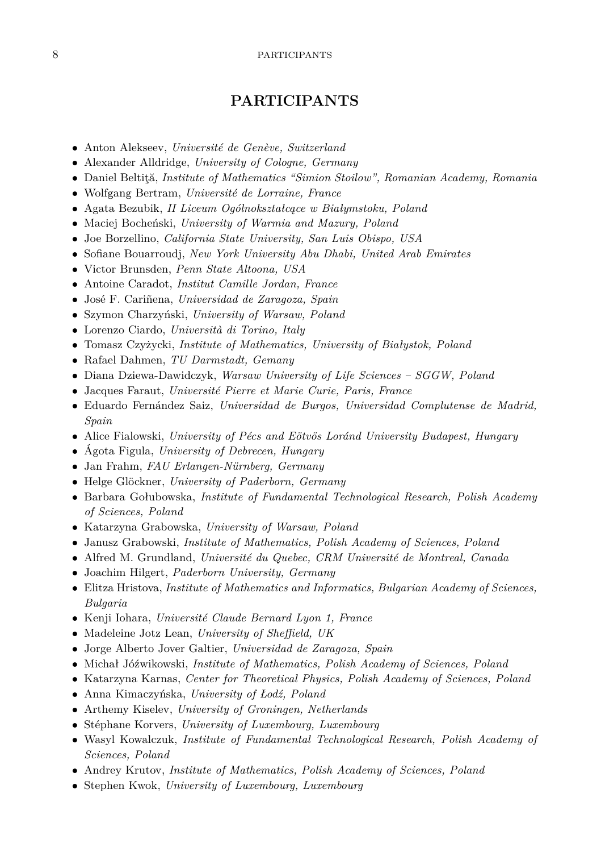## **PARTICIPANTS**

- Anton Alekseev, *Université de Genève, Switzerland*
- Alexander Alldridge, *University of Cologne, Germany*
- Daniel Beltiţă, *Institute of Mathematics "Simion Stoilow", Romanian Academy, Romania*
- Wolfgang Bertram, *Université de Lorraine, France*
- Agata Bezubik, *II Liceum Ogólnokształcące w Białymstoku, Poland*
- Maciej Bocheński, *University of Warmia and Mazury, Poland*
- Joe Borzellino, *California State University, San Luis Obispo, USA*
- Sofiane Bouarroudj, *New York University Abu Dhabi, United Arab Emirates*
- Victor Brunsden, *Penn State Altoona, USA*
- Antoine Caradot, *Institut Camille Jordan, France*
- José F. Cariñena, *Universidad de Zaragoza, Spain*
- Szymon Charzyński, *University of Warsaw, Poland*
- Lorenzo Ciardo, *Università di Torino, Italy*
- Tomasz Czyżycki, *Institute of Mathematics, University of Białystok, Poland*
- Rafael Dahmen, *TU Darmstadt, Gemany*
- Diana Dziewa-Dawidczyk, *Warsaw University of Life Sciences SGGW, Poland*
- Jacques Faraut, *Université Pierre et Marie Curie, Paris, France*
- Eduardo Fernández Saiz, *Universidad de Burgos, Universidad Complutense de Madrid, Spain*
- Alice Fialowski, *University of Pécs and Eötvös Loránd University Budapest, Hungary*
- Ágota Figula, *University of Debrecen, Hungary*
- Jan Frahm, *FAU Erlangen-Nürnberg, Germany*
- Helge Glöckner, *University of Paderborn, Germany*
- Barbara Gołubowska, *Institute of Fundamental Technological Research, Polish Academy of Sciences, Poland*
- Katarzyna Grabowska, *University of Warsaw, Poland*
- Janusz Grabowski, *Institute of Mathematics, Polish Academy of Sciences, Poland*
- Alfred M. Grundland, *Université du Quebec, CRM Université de Montreal, Canada*
- Joachim Hilgert, *Paderborn University, Germany*
- Elitza Hristova, *Institute of Mathematics and Informatics, Bulgarian Academy of Sciences, Bulgaria*
- Kenji Iohara, *Université Claude Bernard Lyon 1, France*
- Madeleine Jotz Lean, *University of Sheffield, UK*
- Jorge Alberto Jover Galtier, *Universidad de Zaragoza, Spain*
- Michał Jóźwikowski, *Institute of Mathematics, Polish Academy of Sciences, Poland*
- Katarzyna Karnas, *Center for Theoretical Physics, Polish Academy of Sciences, Poland*
- Anna Kimaczyńska, *University of Łodź, Poland*
- Arthemy Kiselev, *University of Groningen, Netherlands*
- Stéphane Korvers, *University of Luxembourg, Luxembourg*
- Wasyl Kowalczuk, *Institute of Fundamental Technological Research, Polish Academy of Sciences, Poland*
- Andrey Krutov, *Institute of Mathematics, Polish Academy of Sciences, Poland*
- Stephen Kwok, *University of Luxembourg, Luxembourg*